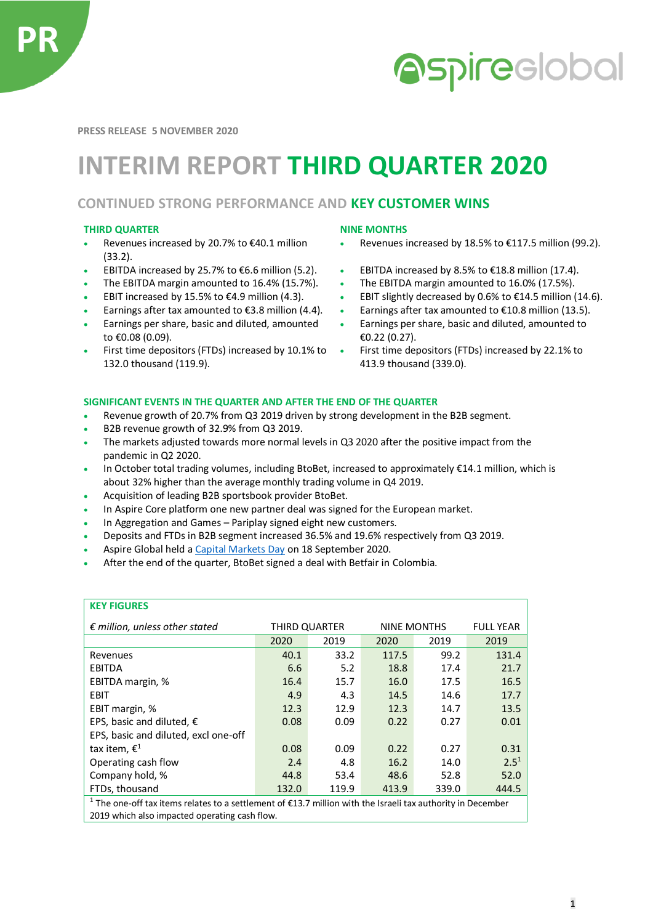

# **Aspireclobal**

**PRESS RELEASE 5 NOVEMBER 2020**

## **INTERIM REPORT THIRD QUARTER 2020**

### **CONTINUED STRONG PERFORMANCE AND KEY CUSTOMER WINS**

#### **THIRD QUARTER NINE MONTHS**

**KEY FIGURES** 

- Revenues increased by 20.7% to €40.1 million (33.2).
- 
- 
- 
- 
- Earnings per share, basic and diluted, amounted to €0.08 (0.09).
- First time depositors (FTDs) increased by 10.1% to 132.0 thousand (119.9).

- Revenues increased by 18.5% to €117.5 million (99.2).
- EBITDA increased by 25.7% to €6.6 million (5.2). EBITDA increased by 8.5% to €18.8 million (17.4).
- The EBITDA margin amounted to 16.4% (15.7%). The EBITDA margin amounted to 16.0% (17.5%).
- EBIT increased by 15.5% to €4.9 million (4.3). EBIT slightly decreased by 0.6% to €14.5 million (14.6).
- Earnings after tax amounted to  $\epsilon$ 3.8 million (4.4). Earnings after tax amounted to  $\epsilon$ 10.8 million (13.5).
	- Earnings per share, basic and diluted, amounted to €0.22 (0.27).
	- First time depositors (FTDs) increased by 22.1% to 413.9 thousand (339.0).

#### **SIGNIFICANT EVENTS IN THE QUARTER AND AFTER THE END OF THE QUARTER**

- Revenue growth of 20.7% from Q3 2019 driven by strong development in the B2B segment.
- B2B revenue growth of 32.9% from Q3 2019.
- The markets adjusted towards more normal levels in Q3 2020 after the positive impact from the pandemic in Q2 2020.
- In October total trading volumes, including BtoBet, increased to approximately €14.1 million, which is about 32% higher than the average monthly trading volume in Q4 2019.
- Acquisition of leading B2B sportsbook provider BtoBet.
- In Aspire Core platform one new partner deal was signed for the European market.
- In Aggregation and Games Pariplay signed eight new customers.
- Deposits and FTDs in B2B segment increased 36.5% and 19.6% respectively from Q3 2019.
- Aspire Global held [a Capital Markets Day](https://tv.streamfabriken.com/aspire-global-cmd-2020) on 18 September 2020.
- After the end of the quarter, BtoBet signed a deal with Betfair in Colombia.

| <b>KEY FIGURES</b>                                                                                                     |               |       |             |       |                  |
|------------------------------------------------------------------------------------------------------------------------|---------------|-------|-------------|-------|------------------|
| $\epsilon$ million, unless other stated                                                                                | THIRD QUARTER |       | NINE MONTHS |       | <b>FULL YEAR</b> |
|                                                                                                                        | 2020          | 2019  | 2020        | 2019  | 2019             |
| Revenues                                                                                                               | 40.1          | 33.2  | 117.5       | 99.2  | 131.4            |
| <b>EBITDA</b>                                                                                                          | 6.6           | 5.2   | 18.8        | 17.4  | 21.7             |
| EBITDA margin, %                                                                                                       | 16.4          | 15.7  | 16.0        | 17.5  | 16.5             |
| <b>EBIT</b>                                                                                                            | 4.9           | 4.3   | 14.5        | 14.6  | 17.7             |
| EBIT margin, %                                                                                                         | 12.3          | 12.9  | 12.3        | 14.7  | 13.5             |
| EPS, basic and diluted, $\epsilon$                                                                                     | 0.08          | 0.09  | 0.22        | 0.27  | 0.01             |
| EPS, basic and diluted, excl one-off                                                                                   |               |       |             |       |                  |
| tax item, $\epsilon^1$                                                                                                 | 0.08          | 0.09  | 0.22        | 0.27  | 0.31             |
| Operating cash flow                                                                                                    | 2.4           | 4.8   | 16.2        | 14.0  | $2.5^{1}$        |
| Company hold, %                                                                                                        | 44.8          | 53.4  | 48.6        | 52.8  | 52.0             |
| FTDs, thousand                                                                                                         | 132.0         | 119.9 | 413.9       | 339.0 | 444.5            |
| <sup>1</sup> The one-off tax items relates to a settlement of €13.7 million with the Israeli tax authority in December |               |       |             |       |                  |
| 2019 which also impacted operating cash flow.                                                                          |               |       |             |       |                  |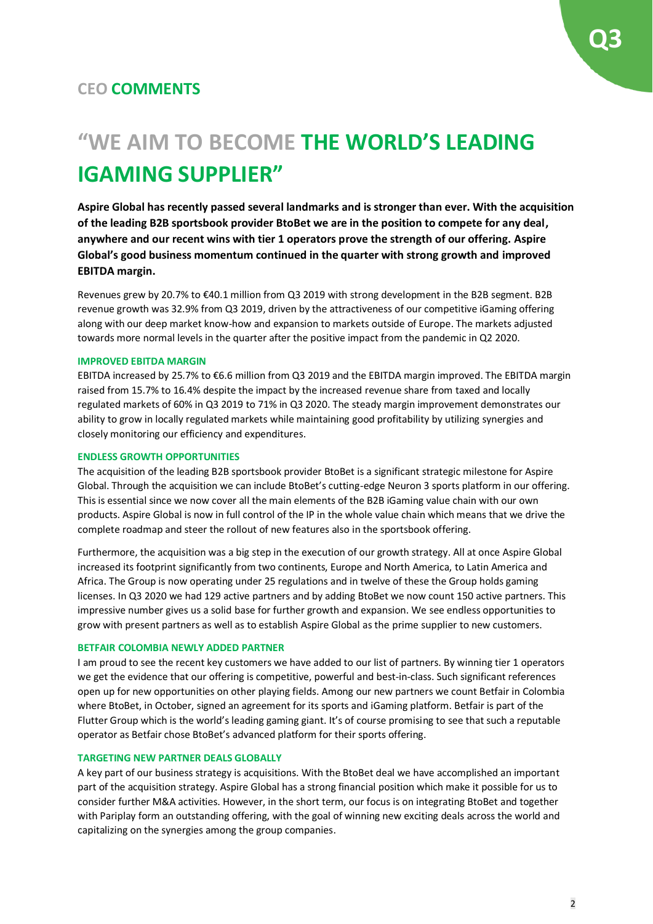### **"WE AIM TO BECOME THE WORLD'S LEADING IGAMING SUPPLIER"**

**Aspire Global has recently passed several landmarks and is stronger than ever. With the acquisition of the leading B2B sportsbook provider BtoBet we are in the position to compete for any deal, anywhere and our recent wins with tier 1 operators prove the strength of our offering. Aspire Global's good business momentum continued in the quarter with strong growth and improved EBITDA margin.**

Revenues grew by 20.7% to €40.1 million from Q3 2019 with strong development in the B2B segment. B2B revenue growth was 32.9% from Q3 2019, driven by the attractiveness of our competitive iGaming offering along with our deep market know-how and expansion to markets outside of Europe. The markets adjusted towards more normal levels in the quarter after the positive impact from the pandemic in Q2 2020.

#### **IMPROVED EBITDA MARGIN**

EBITDA increased by 25.7% to €6.6 million from Q3 2019 and the EBITDA margin improved. The EBITDA margin raised from 15.7% to 16.4% despite the impact by the increased revenue share from taxed and locally regulated markets of 60% in Q3 2019 to 71% in Q3 2020. The steady margin improvement demonstrates our ability to grow in locally regulated markets while maintaining good profitability by utilizing synergies and closely monitoring our efficiency and expenditures.

#### **ENDLESS GROWTH OPPORTUNITIES**

The acquisition of the leading B2B sportsbook provider BtoBet is a significant strategic milestone for Aspire Global. Through the acquisition we can include BtoBet's cutting-edge Neuron 3 sports platform in our offering. This is essential since we now cover all the main elements of the B2B iGaming value chain with our own products. Aspire Global is now in full control of the IP in the whole value chain which means that we drive the complete roadmap and steer the rollout of new features also in the sportsbook offering.

Furthermore, the acquisition was a big step in the execution of our growth strategy. All at once Aspire Global increased its footprint significantly from two continents, Europe and North America, to Latin America and Africa. The Group is now operating under 25 regulations and in twelve of these the Group holds gaming licenses. In Q3 2020 we had 129 active partners and by adding BtoBet we now count 150 active partners. This impressive number gives us a solid base for further growth and expansion. We see endless opportunities to grow with present partners as well as to establish Aspire Global as the prime supplier to new customers.

#### **BETFAIR COLOMBIA NEWLY ADDED PARTNER**

I am proud to see the recent key customers we have added to our list of partners. By winning tier 1 operators we get the evidence that our offering is competitive, powerful and best-in-class. Such significant references open up for new opportunities on other playing fields. Among our new partners we count Betfair in Colombia where BtoBet, in October, signed an agreement for its sports and iGaming platform. Betfair is part of the Flutter Group which is the world's leading gaming giant. It's of course promising to see that such a reputable operator as Betfair chose BtoBet's advanced platform for their sports offering.

#### **TARGETING NEW PARTNER DEALS GLOBALLY**

A key part of our business strategy is acquisitions. With the BtoBet deal we have accomplished an important part of the acquisition strategy. Aspire Global has a strong financial position which make it possible for us to consider further M&A activities. However, in the short term, our focus is on integrating BtoBet and together with Pariplay form an outstanding offering, with the goal of winning new exciting deals across the world and capitalizing on the synergies among the group companies.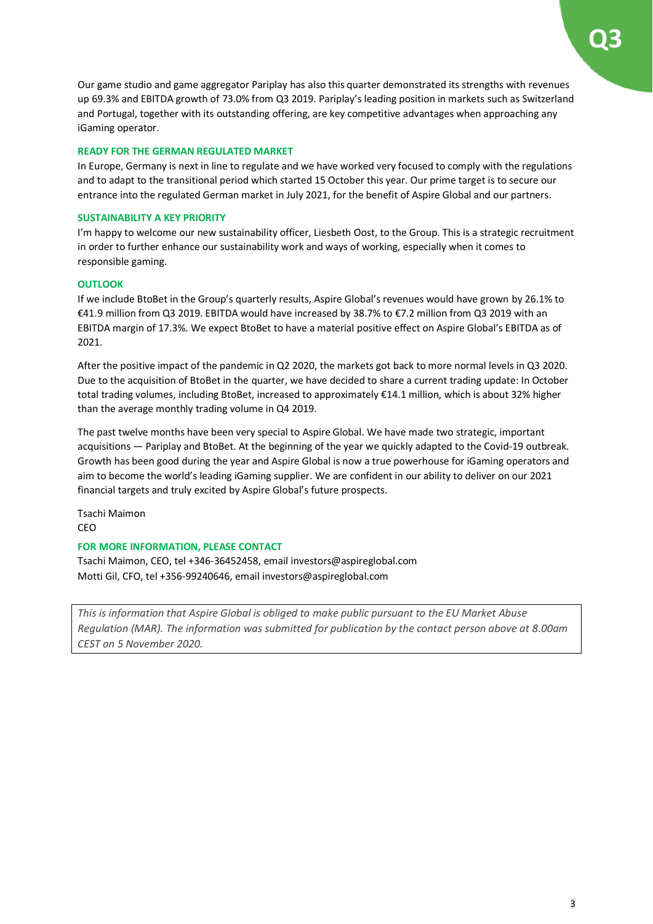Our game studio and game aggregator Pariplay has also this quarter demonstrated its strengths with revenues up 69.3% and EBITDA growth of 73.0% from Q3 2019. Pariplay's leading position in markets such as Switzerland and Portugal, together with its outstanding offering, are key competitive advantages when approaching any iGaming operator.

#### **READY FOR THE GERMAN REGULATED MARKET**

In Europe, Germany is next in line to regulate and we have worked very focused to comply with the regulations and to adapt to the transitional period which started 15 October this year. Our prime target is to secure our entrance into the regulated German market in July 2021, for the benefit of Aspire Global and our partners.

#### **SUSTAINABILITY A KEY PRIORITY**

I'm happy to welcome our new sustainability officer, Liesbeth Oost, to the Group. This is a strategic recruitment in order to further enhance our sustainability work and ways of working, especially when it comes to responsible gaming.

#### **OUTLOOK**

If we include BtoBet in the Group's quarterly results, Aspire Global's revenues would have grown by 26.1% to €41.9 million from Q3 2019. EBITDA would have increased by 38.7% to €7.2 million from Q3 2019 with an EBITDA margin of 17.3%. We expect BtoBet to have a material positive effect on Aspire Global's EBITDA as of 2021.

After the positive impact of the pandemic in Q2 2020, the markets got back to more normal levels in Q3 2020. Due to the acquisition of BtoBet in the quarter, we have decided to share a current trading update: In October total trading volumes, including BtoBet, increased to approximately €14.1 million, which is about 32% higher than the average monthly trading volume in Q4 2019.

The past twelve months have been very special to Aspire Global. We have made two strategic, important acquisitions — Pariplay and BtoBet. At the beginning of the year we quickly adapted to the Covid-19 outbreak. Growth has been good during the year and Aspire Global is now a true powerhouse for iGaming operators and aim to become the world's leading iGaming supplier. We are confident in our ability to deliver on our 2021 financial targets and truly excited by Aspire Global's future prospects.

Tsachi Maimon CEO

#### **FOR MORE INFORMATION, PLEASE CONTACT**

Tsachi Maimon, CEO, tel +346-36452458, email investors@aspireglobal.com Motti Gil, CFO, tel +356-99240646, email investors@aspireglobal.com

*This is information that Aspire Global is obliged to make public pursuant to the EU Market Abuse Regulation (MAR). The information was submitted for publication by the contact person above at 8.00am CEST on 5 November 2020.*